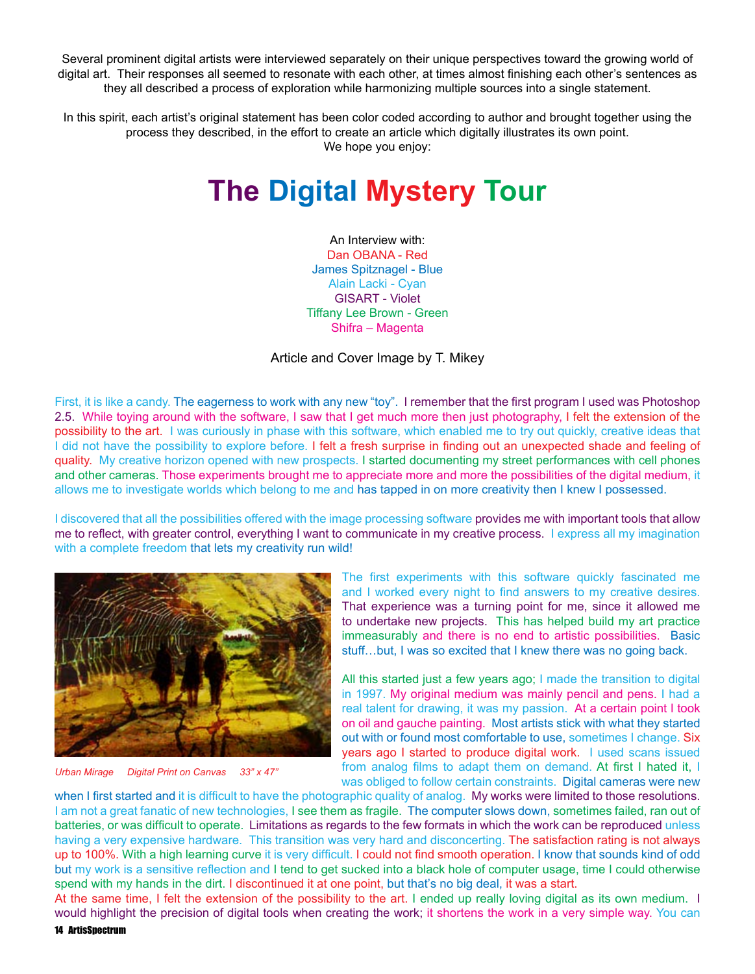Several prominent digital artists were interviewed separately on their unique perspectives toward the growing world of digital art. Their responses all seemed to resonate with each other, at times almost finishing each other's sentences as they all described a process of exploration while harmonizing multiple sources into a single statement.

In this spirit, each artist's original statement has been color coded according to author and brought together using the process they described, in the effort to create an article which digitally illustrates its own point. We hope you enjoy:

## **The Digital Mystery Tour**

An Interview with: Dan OBANA - Red James Spitznagel - Blue Alain Lacki - Cyan GISART - Violet Tiffany Lee Brown - Green Shifra – Magenta

## Article and Cover Image by T. Mikey

First, it is like a candy. The eagerness to work with any new "toy". I remember that the first program I used was Photoshop 2.5. While toying around with the software, I saw that I get much more then just photography, I felt the extension of the possibility to the art. I was curiously in phase with this software, which enabled me to try out quickly, creative ideas that I did not have the possibility to explore before. I felt a fresh surprise in finding out an unexpected shade and feeling of quality. My creative horizon opened with new prospects. I started documenting my street performances with cell phones and other cameras. Those experiments brought me to appreciate more and more the possibilities of the digital medium, it allows me to investigate worlds which belong to me and has tapped in on more creativity then I knew I possessed.

I discovered that all the possibilities offered with the image processing software provides me with important tools that allow me to reflect, with greater control, everything I want to communicate in my creative process. I express all my imagination with a complete freedom that lets my creativity run wild!



*Urban Mirage Digital Print on Canvas 33" x 47"*

The first experiments with this software quickly fascinated me and I worked every night to find answers to my creative desires. That experience was a turning point for me, since it allowed me to undertake new projects. This has helped build my art practice immeasurably and there is no end to artistic possibilities. Basic stuff…but, I was so excited that I knew there was no going back.

All this started just a few years ago; I made the transition to digital in 1997. My original medium was mainly pencil and pens. I had a real talent for drawing, it was my passion. At a certain point l took on oil and gauche painting. Most artists stick with what they started out with or found most comfortable to use, sometimes I change. Six years ago I started to produce digital work. I used scans issued from analog films to adapt them on demand. At first I hated it, I was obliged to follow certain constraints. Digital cameras were new

when I first started and it is difficult to have the photographic quality of analog. My works were limited to those resolutions. I am not a great fanatic of new technologies, I see them as fragile. The computer slows down, sometimes failed, ran out of batteries, or was difficult to operate. Limitations as regards to the few formats in which the work can be reproduced unless having a very expensive hardware. This transition was very hard and disconcerting. The satisfaction rating is not always up to 100%. With a high learning curve it is very difficult. I could not find smooth operation. I know that sounds kind of odd but my work is a sensitive reflection and I tend to get sucked into a black hole of computer usage, time I could otherwise spend with my hands in the dirt. I discontinued it at one point, but that's no big deal, it was a start.

At the same time, I felt the extension of the possibility to the art. I ended up really loving digital as its own medium. I would highlight the precision of digital tools when creating the work; it shortens the work in a very simple way. You can

14 ArtisSpectrum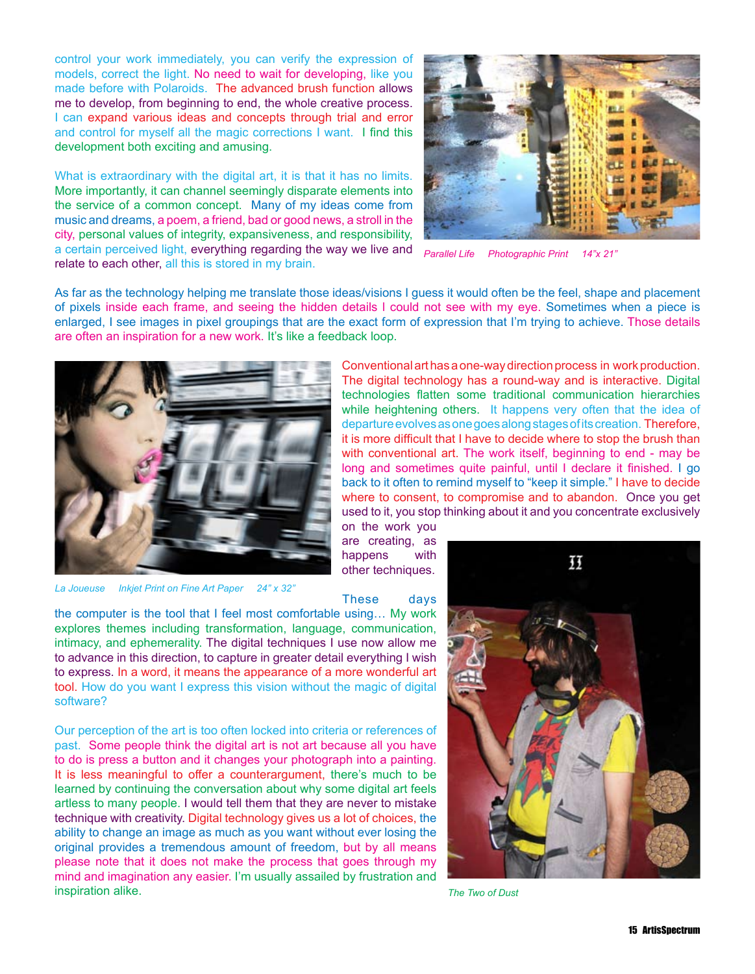control your work immediately, you can verify the expression of models, correct the light. No need to wait for developing, like you made before with Polaroids. The advanced brush function allows me to develop, from beginning to end, the whole creative process. I can expand various ideas and concepts through trial and error and control for myself all the magic corrections I want. I find this development both exciting and amusing.

What is extraordinary with the digital art, it is that it has no limits. More importantly, it can channel seemingly disparate elements into the service of a common concept. Many of my ideas come from music and dreams, a poem, a friend, bad or good news, a stroll in the city, personal values of integrity, expansiveness, and responsibility, a certain perceived light, everything regarding the way we live and relate to each other, all this is stored in my brain.



*Parallel Life Photographic Print 14"x 21"*

As far as the technology helping me translate those ideas/visions I guess it would often be the feel, shape and placement of pixels inside each frame, and seeing the hidden details l could not see with my eye. Sometimes when a piece is enlarged, I see images in pixel groupings that are the exact form of expression that I'm trying to achieve. Those details are often an inspiration for a new work. It's like a feedback loop.



*La Joueuse Inkjet Print on Fine Art Paper 24" x 32"*

Conventional art has a one-way direction process in work production. The digital technology has a round-way and is interactive. Digital technologies flatten some traditional communication hierarchies while heightening others. It happens very often that the idea of departure evolves as one goes along stages of its creation. Therefore, it is more difficult that I have to decide where to stop the brush than with conventional art. The work itself, beginning to end - may be long and sometimes quite painful, until I declare it finished. I go back to it often to remind myself to "keep it simple." I have to decide where to consent, to compromise and to abandon. Once you get used to it, you stop thinking about it and you concentrate exclusively

on the work you are creating, as happens with other techniques.



the computer is the tool that I feel most comfortable using… My work explores themes including transformation, language, communication, intimacy, and ephemerality. The digital techniques I use now allow me to advance in this direction, to capture in greater detail everything I wish to express. In a word, it means the appearance of a more wonderful art tool. How do you want I express this vision without the magic of digital software?

Our perception of the art is too often locked into criteria or references of past. Some people think the digital art is not art because all you have to do is press a button and it changes your photograph into a painting. It is less meaningful to offer a counterargument, there's much to be learned by continuing the conversation about why some digital art feels artless to many people. I would tell them that they are never to mistake technique with creativity. Digital technology gives us a lot of choices, the ability to change an image as much as you want without ever losing the original provides a tremendous amount of freedom, but by all means please note that it does not make the process that goes through my mind and imagination any easier. I'm usually assailed by frustration and inspiration alike.



*The Two of Dust*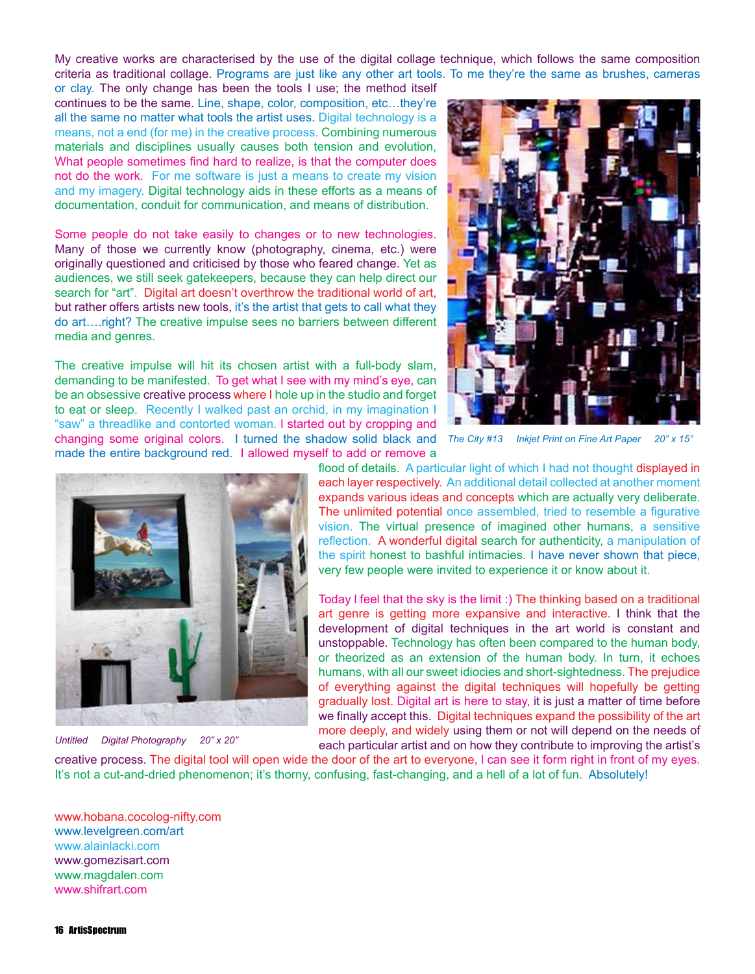My creative works are characterised by the use of the digital collage technique, which follows the same composition criteria as traditional collage. Programs are just like any other art tools. To me they're the same as brushes, cameras

or clay. The only change has been the tools I use; the method itself continues to be the same. Line, shape, color, composition, etc…they're all the same no matter what tools the artist uses. Digital technology is a means, not a end (for me) in the creative process. Combining numerous materials and disciplines usually causes both tension and evolution, What people sometimes find hard to realize, is that the computer does not do the work. For me software is just a means to create my vision and my imagery. Digital technology aids in these efforts as a means of documentation, conduit for communication, and means of distribution.

Some people do not take easily to changes or to new technologies. Many of those we currently know (photography, cinema, etc.) were originally questioned and criticised by those who feared change. Yet as audiences, we still seek gatekeepers, because they can help direct our search for "art". Digital art doesn't overthrow the traditional world of art, but rather offers artists new tools, it's the artist that gets to call what they do art….right? The creative impulse sees no barriers between different media and genres.

The creative impulse will hit its chosen artist with a full-body slam, demanding to be manifested. To get what I see with my mind's eye, can be an obsessive creative process where I hole up in the studio and forget to eat or sleep. Recently I walked past an orchid, in my imagination I "saw" a threadlike and contorted woman. l started out by cropping and changing some original colors. I turned the shadow solid black and made the entire background red. I allowed myself to add or remove a



*The City #13 Inkjet Print on Fine Art Paper 20" x 15"*



*Untitled Digital Photography 20" x 20"*

flood of details. A particular light of which I had not thought displayed in each layer respectively. An additional detail collected at another moment expands various ideas and concepts which are actually very deliberate. The unlimited potential once assembled, tried to resemble a figurative vision. The virtual presence of imagined other humans, a sensitive reflection. A wonderful digital search for authenticity, a manipulation of the spirit honest to bashful intimacies. I have never shown that piece, very few people were invited to experience it or know about it.

Today l feel that the sky is the limit :) The thinking based on a traditional art genre is getting more expansive and interactive. I think that the development of digital techniques in the art world is constant and unstoppable. Technology has often been compared to the human body, or theorized as an extension of the human body. In turn, it echoes humans, with all our sweet idiocies and short-sightedness. The prejudice of everything against the digital techniques will hopefully be getting gradually lost. Digital art is here to stay, it is just a matter of time before we finally accept this. Digital techniques expand the possibility of the art more deeply, and widely using them or not will depend on the needs of each particular artist and on how they contribute to improving the artist's

creative process. The digital tool will open wide the door of the art to everyone, l can see it form right in front of my eyes. It's not a cut-and-dried phenomenon; it's thorny, confusing, fast-changing, and a hell of a lot of fun. Absolutely!

www.hobana.cocolog-nifty.com www.levelgreen.com/art www.alainlacki.com www.gomezisart.com www.magdalen.com www.shifrart.com